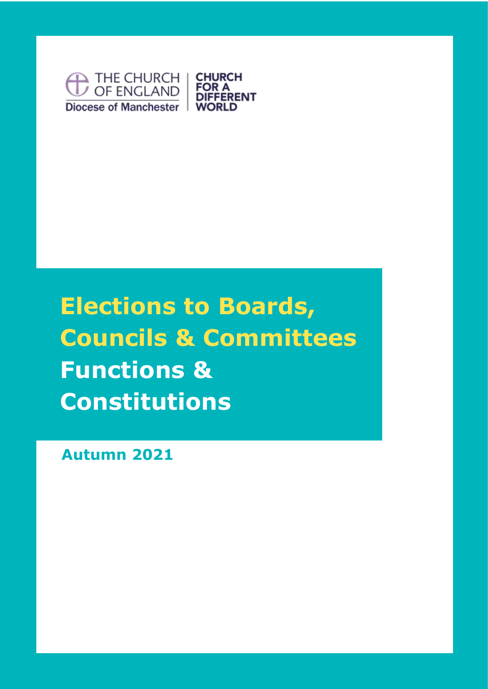

# **Elections to Boards, Councils & Committees Functions & Constitutions**

**Autumn 2021**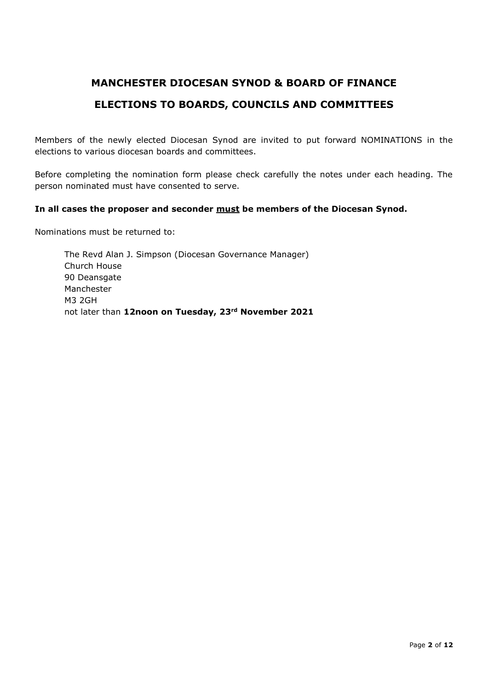## **MANCHESTER DIOCESAN SYNOD & BOARD OF FINANCE ELECTIONS TO BOARDS, COUNCILS AND COMMITTEES**

Members of the newly elected Diocesan Synod are invited to put forward NOMINATIONS in the elections to various diocesan boards and committees.

Before completing the nomination form please check carefully the notes under each heading. The person nominated must have consented to serve.

#### **In all cases the proposer and seconder must be members of the Diocesan Synod.**

Nominations must be returned to:

The Revd Alan J. Simpson (Diocesan Governance Manager) Church House 90 Deansgate Manchester M3 2GH not later than **12noon on Tuesday, 23rd November 2021**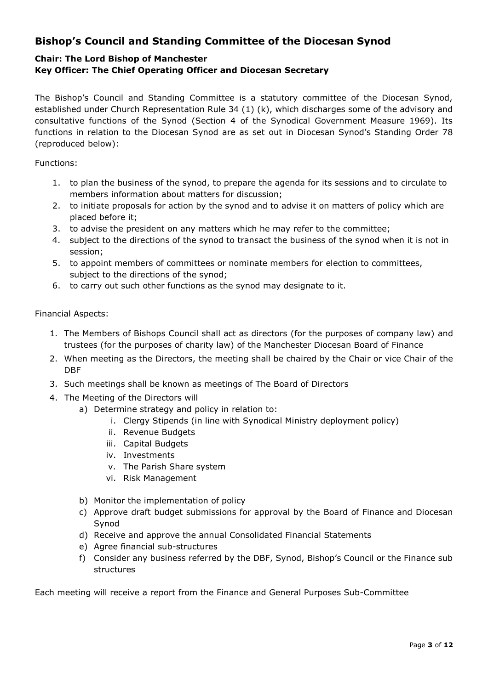## **Bishop's Council and Standing Committee of the Diocesan Synod**

## **Chair: The Lord Bishop of Manchester**

#### **Key Officer: The Chief Operating Officer and Diocesan Secretary**

The Bishop's Council and Standing Committee is a statutory committee of the Diocesan Synod, established under Church Representation Rule 34 (1) (k), which discharges some of the advisory and consultative functions of the Synod (Section 4 of the Synodical Government Measure 1969). Its functions in relation to the Diocesan Synod are as set out in Diocesan Synod's Standing Order 78 (reproduced below):

Functions:

- 1. to plan the business of the synod, to prepare the agenda for its sessions and to circulate to members information about matters for discussion;
- 2. to initiate proposals for action by the synod and to advise it on matters of policy which are placed before it;
- 3. to advise the president on any matters which he may refer to the committee;
- 4. subject to the directions of the synod to transact the business of the synod when it is not in session;
- 5. to appoint members of committees or nominate members for election to committees, subject to the directions of the synod;
- 6. to carry out such other functions as the synod may designate to it.

#### Financial Aspects:

- 1. The Members of Bishops Council shall act as directors (for the purposes of company law) and trustees (for the purposes of charity law) of the Manchester Diocesan Board of Finance
- 2. When meeting as the Directors, the meeting shall be chaired by the Chair or vice Chair of the DBF
- 3. Such meetings shall be known as meetings of The Board of Directors
- 4. The Meeting of the Directors will
	- a) Determine strategy and policy in relation to:
		- i. Clergy Stipends (in line with Synodical Ministry deployment policy)
		- ii. Revenue Budgets
		- iii. Capital Budgets
		- iv. Investments
		- v. The Parish Share system
		- vi. Risk Management
	- b) Monitor the implementation of policy
	- c) Approve draft budget submissions for approval by the Board of Finance and Diocesan Synod
	- d) Receive and approve the annual Consolidated Financial Statements
	- e) Agree financial sub-structures
	- f) Consider any business referred by the DBF, Synod, Bishop's Council or the Finance sub structures

Each meeting will receive a report from the Finance and General Purposes Sub-Committee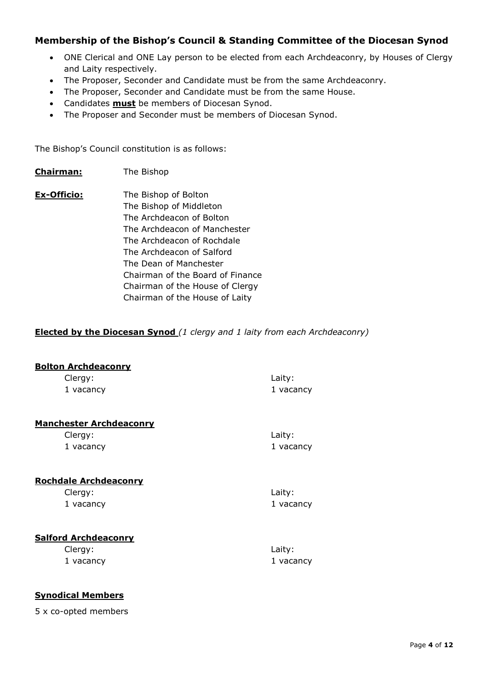#### **Membership of the Bishop's Council & Standing Committee of the Diocesan Synod**

- ONE Clerical and ONE Lay person to be elected from each Archdeaconry, by Houses of Clergy and Laity respectively.
- The Proposer, Seconder and Candidate must be from the same Archdeaconry.
- The Proposer, Seconder and Candidate must be from the same House.
- Candidates **must** be members of Diocesan Synod.
- The Proposer and Seconder must be members of Diocesan Synod.

The Bishop's Council constitution is as follows:

- **Chairman:** The Bishop
- **Ex-Officio:** The Bishop of Bolton The Bishop of Middleton The Archdeacon of Bolton The Archdeacon of Manchester The Archdeacon of Rochdale The Archdeacon of Salford The Dean of Manchester Chairman of the Board of Finance Chairman of the House of Clergy Chairman of the House of Laity

#### **Elected by the Diocesan Synod** *(1 clergy and 1 laity from each Archdeaconry)*

| <b>Bolton Archdeaconry</b>                |           |
|-------------------------------------------|-----------|
| Clergy:                                   | Laity:    |
| 1 vacancy                                 | 1 vacancy |
| <b>Manchester Archdeaconry</b>            |           |
| Clergy:                                   | Laity:    |
| 1 vacancy<br><b>Rochdale Archdeaconry</b> | 1 vacancy |
| Clergy:                                   | Laity:    |
| 1 vacancy                                 | 1 vacancy |
| <b>Salford Archdeaconry</b>               |           |
| Clergy:                                   | Laity:    |
| 1 vacancy                                 | 1 vacancy |

#### **Synodical Members**

5 x co-opted members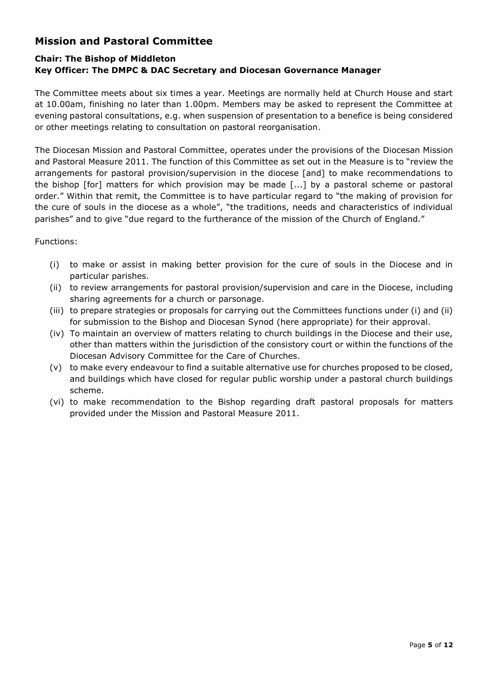## **Mission and Pastoral Committee**

## **Chair: The Bishop of Middleton Key Officer: The DMPC & DAC Secretary and Diocesan Governance Manager**

The Committee meets about six times a year. Meetings are normally held at Church House and start at 10.00am, finishing no later than 1.00pm. Members may be asked to represent the Committee at evening pastoral consultations, e.g. when suspension of presentation to a benefice is being considered or other meetings relating to consultation on pastoral reorganisation.

The Diocesan Mission and Pastoral Committee, operates under the provisions of the Diocesan Mission and Pastoral Measure 2011. The function of this Committee as set out in the Measure is to "review the arrangements for pastoral provision/supervision in the diocese [and] to make recommendations to the bishop [for] matters for which provision may be made [...] by a pastoral scheme or pastoral order." Within that remit, the Committee is to have particular regard to "the making of provision for the cure of souls in the diocese as a whole", "the traditions, needs and characteristics of individual parishes" and to give "due regard to the furtherance of the mission of the Church of England."

#### Functions:

- (i) to make or assist in making better provision for the cure of souls in the Diocese and in particular parishes.
- (ii) to review arrangements for pastoral provision/supervision and care in the Diocese, including sharing agreements for a church or parsonage.
- (iii) to prepare strategies or proposals for carrying out the Committees functions under (i) and (ii) for submission to the Bishop and Diocesan Synod (here appropriate) for their approval.
- (iv) To maintain an overview of matters relating to church buildings in the Diocese and their use, other than matters within the jurisdiction of the consistory court or within the functions of the Diocesan Advisory Committee for the Care of Churches.
- (v) to make every endeavour to find a suitable alternative use for churches proposed to be closed, and buildings which have closed for regular public worship under a pastoral church buildings scheme.
- (vi) to make recommendation to the Bishop regarding draft pastoral proposals for matters provided under the Mission and Pastoral Measure 2011.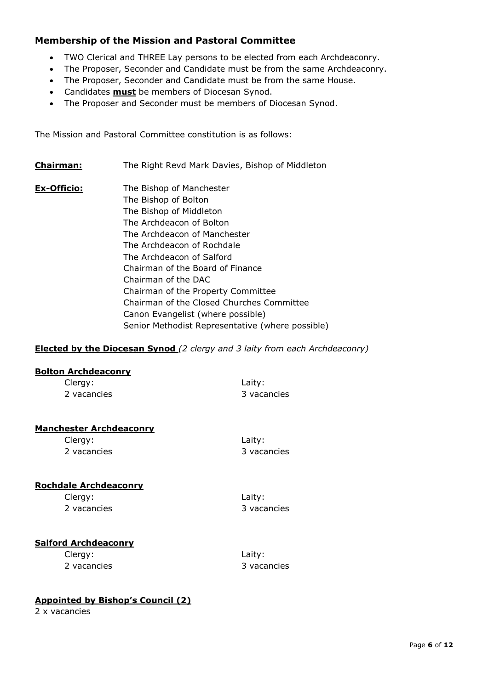#### **Membership of the Mission and Pastoral Committee**

- TWO Clerical and THREE Lay persons to be elected from each Archdeaconry.
- The Proposer, Seconder and Candidate must be from the same Archdeaconry.
- The Proposer, Seconder and Candidate must be from the same House.
- Candidates **must** be members of Diocesan Synod.
- The Proposer and Seconder must be members of Diocesan Synod.

The Mission and Pastoral Committee constitution is as follows:

- **Chairman:** The Right Revd Mark Davies, Bishop of Middleton
- **Ex-Officio:** The Bishop of Manchester The Bishop of Bolton The Bishop of Middleton The Archdeacon of Bolton The Archdeacon of Manchester The Archdeacon of Rochdale The Archdeacon of Salford Chairman of the Board of Finance Chairman of the DAC Chairman of the Property Committee Chairman of the Closed Churches Committee Canon Evangelist (where possible) Senior Methodist Representative (where possible)

#### **Elected by the Diocesan Synod** *(2 clergy and 3 laity from each Archdeaconry)*

#### **Bolton Archdeaconry**

| Clergy:                        | Laity:      |
|--------------------------------|-------------|
| 2 vacancies                    | 3 vacancies |
|                                |             |
| <b>Manchester Archdeaconry</b> |             |
| Clergy:                        | Laity:      |
| 2 vacancies                    | 3 vacancies |
|                                |             |
|                                |             |
|                                |             |

#### **Rochdale Archdeaconry**

Clergy: Laity: 2 vacancies 3 vacancies

#### **Salford Archdeaconry**

Clergy: Laity:

2 vacancies 3 vacancies

#### **Appointed by Bishop's Council (2)**

2 x vacancies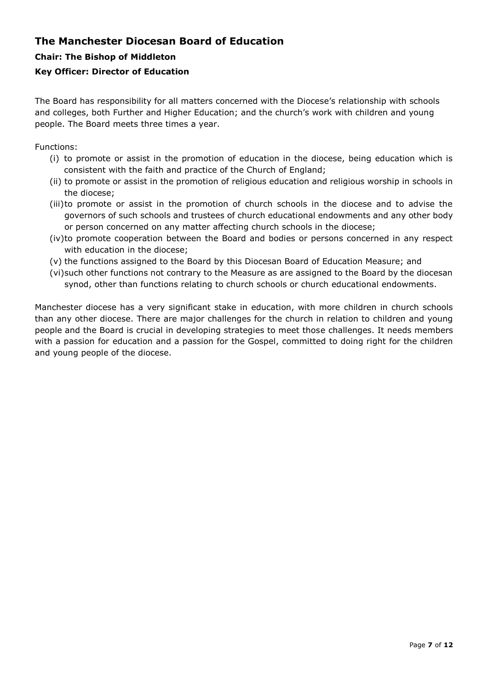## **The Manchester Diocesan Board of Education**

#### **Chair: The Bishop of Middleton**

#### **Key Officer: Director of Education**

The Board has responsibility for all matters concerned with the Diocese's relationship with schools and colleges, both Further and Higher Education; and the church's work with children and young people. The Board meets three times a year.

Functions:

- (i) to promote or assist in the promotion of education in the diocese, being education which is consistent with the faith and practice of the Church of England;
- (ii) to promote or assist in the promotion of religious education and religious worship in schools in the diocese;
- (iii)to promote or assist in the promotion of church schools in the diocese and to advise the governors of such schools and trustees of church educational endowments and any other body or person concerned on any matter affecting church schools in the diocese;
- (iv)to promote cooperation between the Board and bodies or persons concerned in any respect with education in the diocese;
- (v) the functions assigned to the Board by this Diocesan Board of Education Measure; and
- (vi)such other functions not contrary to the Measure as are assigned to the Board by the diocesan synod, other than functions relating to church schools or church educational endowments.

Manchester diocese has a very significant stake in education, with more children in church schools than any other diocese. There are major challenges for the church in relation to children and young people and the Board is crucial in developing strategies to meet those challenges. It needs members with a passion for education and a passion for the Gospel, committed to doing right for the children and young people of the diocese.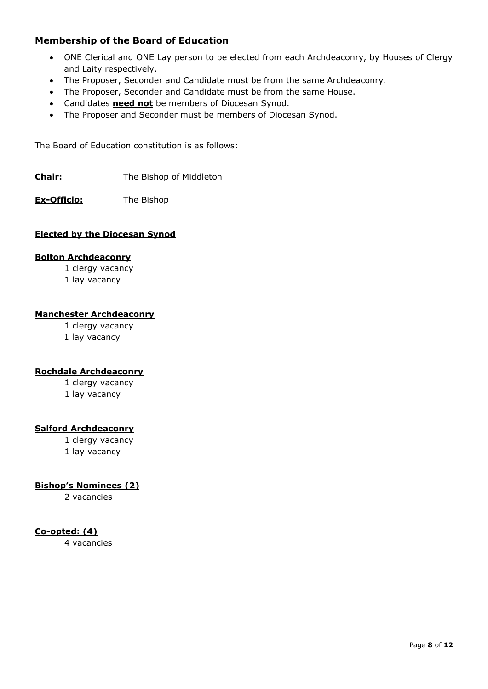#### **Membership of the Board of Education**

- ONE Clerical and ONE Lay person to be elected from each Archdeaconry, by Houses of Clergy and Laity respectively.
- The Proposer, Seconder and Candidate must be from the same Archdeaconry.
- The Proposer, Seconder and Candidate must be from the same House.
- Candidates **need not** be members of Diocesan Synod.
- The Proposer and Seconder must be members of Diocesan Synod.

The Board of Education constitution is as follows:

**Chair:** The Bishop of Middleton

**Ex-Officio:** The Bishop

#### **Elected by the Diocesan Synod**

#### **Bolton Archdeaconry**

1 clergy vacancy

1 lay vacancy

#### **Manchester Archdeaconry**

1 clergy vacancy

1 lay vacancy

#### **Rochdale Archdeaconry**

1 clergy vacancy

1 lay vacancy

#### **Salford Archdeaconry**

1 clergy vacancy 1 lay vacancy

#### **Bishop's Nominees (2)**

2 vacancies

#### **Co-opted: (4)**

4 vacancies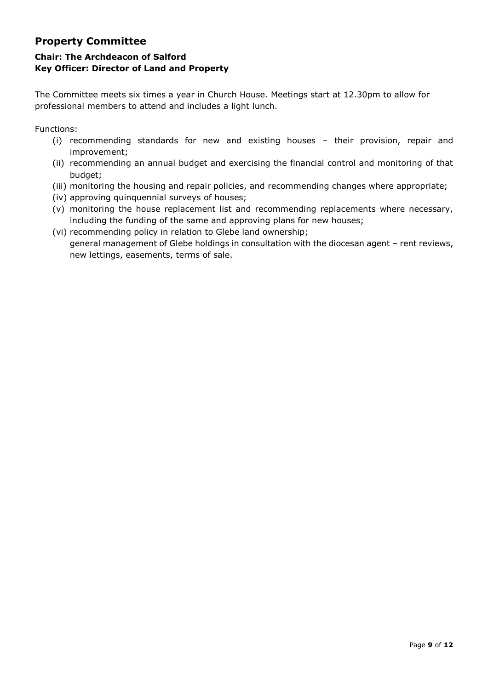## **Property Committee**

## **Chair: The Archdeacon of Salford Key Officer: Director of Land and Property**

The Committee meets six times a year in Church House. Meetings start at 12.30pm to allow for professional members to attend and includes a light lunch.

Functions:

- (i) recommending standards for new and existing houses their provision, repair and improvement;
- (ii) recommending an annual budget and exercising the financial control and monitoring of that budget;
- (iii) monitoring the housing and repair policies, and recommending changes where appropriate;
- (iv) approving quinquennial surveys of houses;
- (v) monitoring the house replacement list and recommending replacements where necessary, including the funding of the same and approving plans for new houses;
- (vi) recommending policy in relation to Glebe land ownership; general management of Glebe holdings in consultation with the diocesan agent – rent reviews, new lettings, easements, terms of sale.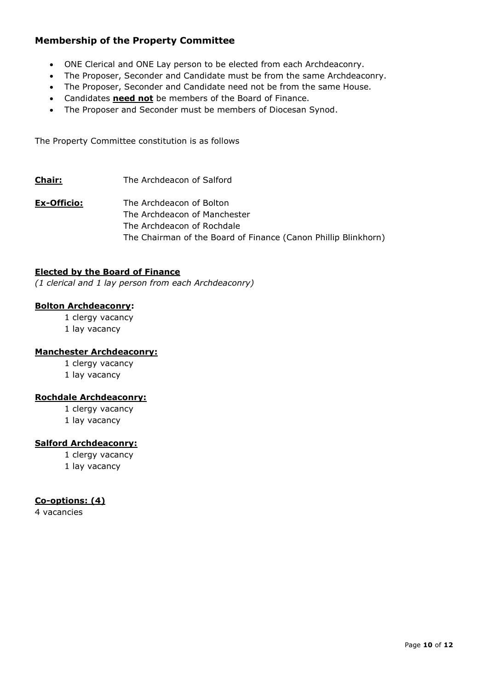### **Membership of the Property Committee**

- ONE Clerical and ONE Lay person to be elected from each Archdeaconry.
- The Proposer, Seconder and Candidate must be from the same Archdeaconry.
- The Proposer, Seconder and Candidate need not be from the same House.
- Candidates **need not** be members of the Board of Finance.
- The Proposer and Seconder must be members of Diocesan Synod.

The Property Committee constitution is as follows

- **Chair:** The Archdeacon of Salford
- **Ex-Officio:** The Archdeacon of Bolton The Archdeacon of Manchester The Archdeacon of Rochdale The Chairman of the Board of Finance (Canon Phillip Blinkhorn)

#### **Elected by the Board of Finance**

*(1 clerical and 1 lay person from each Archdeaconry)*

#### **Bolton Archdeaconry:**

1 clergy vacancy

1 lay vacancy

#### **Manchester Archdeaconry:**

1 clergy vacancy

1 lay vacancy

#### **Rochdale Archdeaconry:**

- 1 clergy vacancy
- 1 lay vacancy

#### **Salford Archdeaconry:**

1 clergy vacancy

1 lay vacancy

#### **Co-options: (4)**

4 vacancies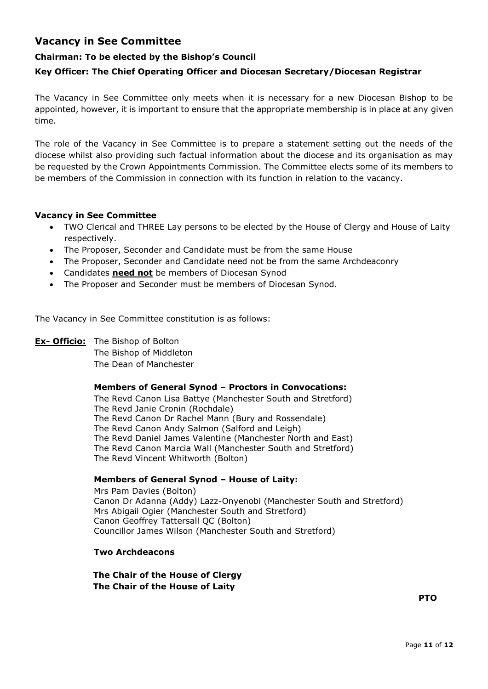## **Vacancy in See Committee**

#### **Chairman: To be elected by the Bishop's Council**

#### **Key Officer: The Chief Operating Officer and Diocesan Secretary/Diocesan Registrar**

The Vacancy in See Committee only meets when it is necessary for a new Diocesan Bishop to be appointed, however, it is important to ensure that the appropriate membership is in place at any given time.

The role of the Vacancy in See Committee is to prepare a statement setting out the needs of the diocese whilst also providing such factual information about the diocese and its organisation as may be requested by the Crown Appointments Commission. The Committee elects some of its members to be members of the Commission in connection with its function in relation to the vacancy.

#### **Vacancy in See Committee**

- TWO Clerical and THREE Lay persons to be elected by the House of Clergy and House of Laity respectively.
- The Proposer, Seconder and Candidate must be from the same House
- The Proposer, Seconder and Candidate need not be from the same Archdeaconry
- Candidates **need not** be members of Diocesan Synod
- The Proposer and Seconder must be members of Diocesan Synod.

The Vacancy in See Committee constitution is as follows:

#### **Ex- Officio:** The Bishop of Bolton

The Bishop of Middleton The Dean of Manchester

#### **Members of General Synod – Proctors in Convocations:**

The Revd Canon Lisa Battye (Manchester South and Stretford) The Revd Janie Cronin (Rochdale) The Revd Canon Dr Rachel Mann (Bury and Rossendale) The Revd Canon Andy Salmon (Salford and Leigh) The Revd Daniel James Valentine (Manchester North and East) The Revd Canon Marcia Wall (Manchester South and Stretford) The Revd Vincent Whitworth (Bolton)

#### **Members of General Synod – House of Laity:**

Mrs Pam Davies (Bolton) Canon Dr Adanna (Addy) Lazz-Onyenobi (Manchester South and Stretford) Mrs Abigail Ogier (Manchester South and Stretford) Canon Geoffrey Tattersall QC (Bolton) Councillor James Wilson (Manchester South and Stretford)

#### **Two Archdeacons**

**The Chair of the House of Clergy The Chair of the House of Laity**

**PTO**